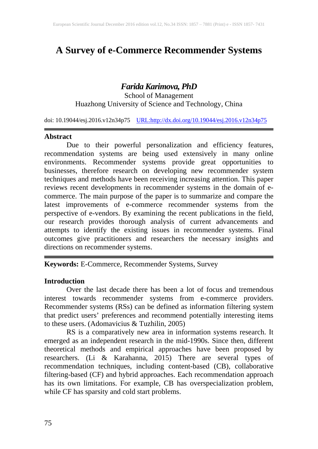# **A Survey of e-Commerce Recommender Systems**

# *Farida Karimova, PhD*

School of Management Huazhong University of Science and Technology, China

doi: 10.19044/esj.2016.v12n34p75 [URL:http://dx.doi.org/10.19044/esj.2016.v12n34p75](http://dx.doi.org/10.19044/esj.2016.v12n34p75)

#### **Abstract**

Due to their powerful personalization and efficiency features, recommendation systems are being used extensively in many online environments. Recommender systems provide great opportunities to businesses, therefore research on developing new recommender system techniques and methods have been receiving increasing attention. This paper reviews recent developments in recommender systems in the domain of ecommerce. The main purpose of the paper is to summarize and compare the latest improvements of e-commerce recommender systems from the perspective of e-vendors. By examining the recent publications in the field, our research provides thorough analysis of current advancements and attempts to identify the existing issues in recommender systems. Final outcomes give practitioners and researchers the necessary insights and directions on recommender systems.

**Keywords:** E-Commerce, Recommender Systems, Survey

#### **Introduction**

Over the last decade there has been a lot of focus and tremendous interest towards recommender systems from e-commerce providers. Recommender systems (RSs) can be defined as information filtering system that predict users' preferences and recommend potentially interesting items to these users. (Adomavicius & Tuzhilin, 2005)<br>RS is a comparatively new area in information systems research. It

RS is a comparatively new area in information systems research. It emerged as an independent research in the mid-1990s. Since then, different theoretical methods and empirical approaches have been proposed by researchers. (Li & Karahanna, 2015) There are several types of recommendation techniques, including content-based (CB), collaborative filtering-based (CF) and hybrid approaches. Each recommendation approach has its own limitations. For example, CB has overspecialization problem, while CF has sparsity and cold start problems.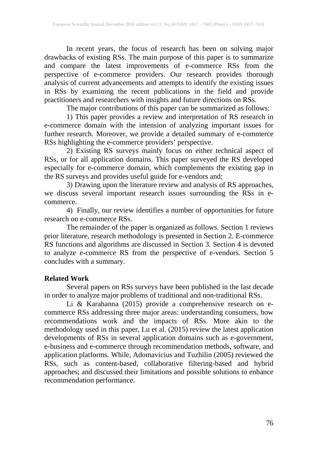In recent years, the focus of research has been on solving major drawbacks of existing RSs. The main purpose of this paper is to summarize and compare the latest improvements of e-commerce RSs from the perspective of e-commerce providers. Our research provides thorough analysis of current advancements and attempts to identify the existing issues in RSs by examining the recent publications in the field and provide practitioners and researchers with insights and future directions on RSs.

The major contributions of this paper can be summarized as follows:

1) This paper provides a review and interpretation of RS research in e-commerce domain with the intension of analyzing important issues for further research. Moreover, we provide a detailed summary of e-commerce RSs highlighting the e-commerce providers' perspective.

2) Existing RS surveys mainly focus on either technical aspect of RSs, or for all application domains. This paper surveyed the RS developed especially for e-commerce domain, which complements the existing gap in the RS surveys and provides useful guide for e-vendors and;

3) Drawing upon the literature review and analysis of RS approaches, we discuss several important research issues surrounding the RSs in ecommerce.

4) Finally, our review identifies a number of opportunities for future research on e-commerce RSs.

The remainder of the paper is organized as follows. Section 1 reviews prior literature, research methodology is presented in Section 2. E-commerce RS functions and algorithms are discussed in Section 3. Section 4 is devoted to analyze e-commerce RS from the perspective of e-vendors. Section 5 concludes with a summary.

# **Related Work**

Several papers on RSs surveys have been published in the last decade in order to analyze major problems of traditional and non-traditional RSs.

Li & Karahanna (2015) provide a comprehensive research on ecommerce RSs addressing three major areas: understanding consumers, how recommendations work and the impacts of RSs. More akin to the methodology used in this paper, Lu et al. (2015) review the latest application developments of RSs in several application domains such as e-government, e-business and e-commerce through recommendation methods, software, and application platforms. While, Adomavicius and Tuzhilin (2005) reviewed the RSs, such as content-based, collaborative filtering-based and hybrid approaches; and discussed their limitations and possible solutions to enhance recommendation performance.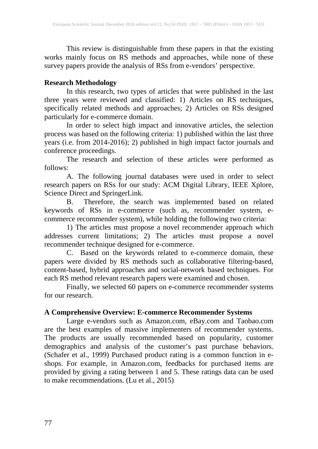This review is distinguishable from these papers in that the existing works mainly focus on RS methods and approaches, while none of these survey papers provide the analysis of RSs from e-vendors' perspective.

#### **Research Methodology**

In this research, two types of articles that were published in the last three years were reviewed and classified: 1) Articles on RS techniques, specifically related methods and approaches; 2) Articles on RSs designed particularly for e-commerce domain.

In order to select high impact and innovative articles, the selection process was based on the following criteria: 1) published within the last three years (i.e. from 2014-2016); 2) published in high impact factor journals and conference proceedings.

The research and selection of these articles were performed as follows:

A. The following journal databases were used in order to select research papers on RSs for our study: ACM Digital Library, IEEE Xplore, Science Direct and SpringerLink.

B. Therefore, the search was implemented based on related keywords of RSs in e-commerce (such as, recommender system, ecommerce recommender system), while holding the following two criteria:

1) The articles must propose a novel recommender approach which addresses current limitations; 2) The articles must propose a novel recommender technique designed for e-commerce.

C. Based on the keywords related to e-commerce domain, these papers were divided by RS methods such as collaborative filtering-based, content-based, hybrid approaches and social-network based techniques. For each RS method relevant research papers were examined and chosen.

Finally, we selected 60 papers on e-commerce recommender systems for our research.

#### **A Comprehensive Overview: E-commerce Recommender Systems**

Large e-vendors such as Amazon.com, eBay.com and Taobao.com are the best examples of massive implementers of recommender systems. The products are usually recommended based on popularity, customer demographics and analysis of the customer's past purchase behaviors. (Schafer et al., 1999) Purchased product rating is a common function in eshops. For example, in Amazon.com, feedbacks for purchased items are provided by giving a rating between 1 and 5. These ratings data can be used to make recommendations. (Lu et al., 2015)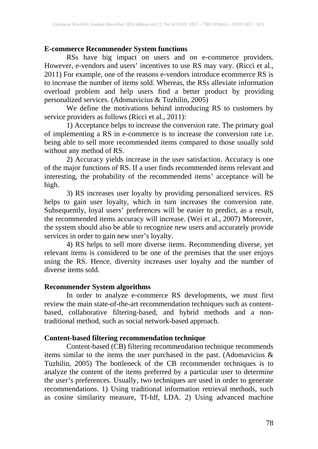#### **E-commerce Recommender System functions**

RSs have big impact on users and on e-commerce providers. However, e-vendors and users' incentives to use RS may vary. (Ricci et al., 2011) For example, one of the reasons e-vendors introduce ecommerce RS is to increase the number of items sold. Whereas, the RSs alleviate information overload problem and help users find a better product by providing personalized services. (Adomavicius & Tuzhilin, 2005)

We define the motivations behind introducing RS to customers by service providers as follows (Ricci et al., 2011):

1) Acceptance helps to increase the conversion rate. The primary goal of implementing a RS in e-commerce is to increase the conversion rate i.e. being able to sell more recommended items compared to those usually sold without any method of RS.

2) Accuracy yields increase in the user satisfaction. Accuracy is one of the major functions of RS. If a user finds recommended items relevant and interesting, the probability of the recommended items' acceptance will be high.

3) RS increases user loyalty by providing personalized services. RS helps to gain user loyalty, which in turn increases the conversion rate. Subsequently, loyal users' preferences will be easier to predict, as a result, the recommended items accuracy will increase. (Wei et al., 2007) Moreover, the system should also be able to recognize new users and accurately provide services in order to gain new user's loyalty.

4) RS helps to sell more diverse items. Recommending diverse, yet relevant items is considered to be one of the premises that the user enjoys using the RS. Hence, diversity increases user loyalty and the number of diverse items sold.

### **Recommender System algorithms**

In order to analyze e-commerce RS developments, we must first review the main state-of-the-art recommendation techniques such as contentbased, collaborative filtering-based, and hybrid methods and a nontraditional method, such as social network-based approach.

### **Content-based filtering recommendation technique**

Content-based (CB) filtering recommendation technique recommends items similar to the items the user purchased in the past. (Adomavicius & Tuzhilin, 2005) The bottleneck of the CB recommender techniques is to analyze the content of the items preferred by a particular user to determine the user's preferences. Usually, two techniques are used in order to generate recommendations. 1) Using traditional information retrieval methods, such as cosine similarity measure, Tf-Idf, LDA. 2) Using advanced machine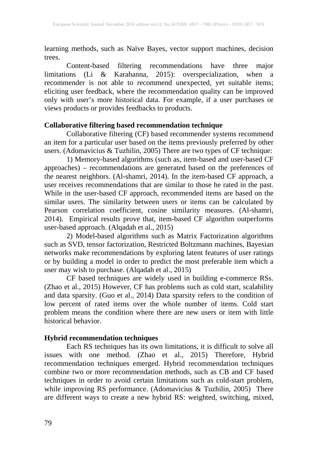learning methods, such as Naïve Bayes, vector support machines, decision trees.

Content-based filtering recommendations have three major ons (Li & Karahanna, 2015): overspecialization, when a limitations (Li & Karahanna, 2015): overspecialization, when a recommender is not able to recommend unexpected, yet suitable items; eliciting user feedback, where the recommendation quality can be improved only with user's more historical data. For example, if a user purchases or views products or provides feedbacks to products.

#### **Collaborative filtering based recommendation technique**

Collaborative filtering (CF) based recommender systems recommend an item for a particular user based on the items previously preferred by other users. (Adomavicius & Tuzhilin, 2005) There are two types of CF technique:

1) Memory-based algorithms (such as, item-based and user-based CF approaches) – recommendations are generated based on the preferences of the nearest neighbors. (Al-shamri, 2014). In the item-based CF approach, a user receives recommendations that are similar to those he rated in the past. While in the user-based CF approach, recommended items are based on the similar users. The similarity between users or items can be calculated by Pearson correlation coefficient, cosine similarity measures. (Al-shamri, 2014). Empirical results prove that, item-based CF algorithm outperforms user-based approach. (Alqadah et al., 2015)

2) Model-based algorithms such as Matrix Factorization algorithms such as SVD, tensor factorization, Restricted Boltzmann machines, Bayesian networks make recommendations by exploring latent features of user ratings or by building a model in order to predict the most preferable item which a user may wish to purchase. (Alqadah et al., 2015)

CF based techniques are widely used in building e-commerce RSs. (Zhao et al., 2015) However, CF has problems such as cold start, scalability and data sparsity. (Guo et al., 2014) Data sparsity refers to the condition of low percent of rated items over the whole number of items. Cold start problem means the condition where there are new users or item with little historical behavior.

#### **Hybrid recommendation techniques**

Each RS techniques has its own limitations, it is difficult to solve all issues with one method. (Zhao et al., 2015) Therefore, Hybrid recommendation techniques emerged. Hybrid recommendation techniques combine two or more recommendation methods, such as CB and CF based techniques in order to avoid certain limitations such as cold-start problem, while improving RS performance. (Adomavicius & Tuzhilin, 2005) There are different ways to create a new hybrid RS: weighted, switching, mixed,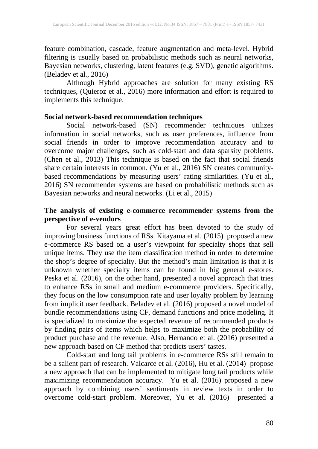feature combination, cascade, feature augmentation and meta-level. Hybrid filtering is usually based on probabilistic methods such as neural networks, Bayesian networks, clustering, latent features (e.g. SVD), genetic algorithms. (Beladev et al., 2016)

Although Hybrid approaches are solution for many existing RS techniques, (Quieroz et al., 2016) more information and effort is required to implements this technique.

# **Social network-based recommendation techniques**

Social network-based (SN) recommender techniques utilizes information in social networks, such as user preferences, influence from social friends in order to improve recommendation accuracy and to overcome major challenges, such as cold-start and data sparsity problems. (Chen et al., 2013) This technique is based on the fact that social friends share certain interests in common. (Yu et al., 2016) SN creates communitybased recommendations by measuring users' rating similarities. (Yu et al., 2016) SN recommender systems are based on probabilistic methods such as Bayesian networks and neural networks. (Li et al., 2015)

#### **The analysis of existing e-commerce recommender systems from the perspective of e-vendors**

For several years great effort has been devoted to the study of improving business functions of RSs. Kitayama et al. (2015) proposed a new e-commerce RS based on a user's viewpoint for specialty shops that sell unique items. They use the item classification method in order to determine the shop's degree of specialty. But the method's main limitation is that it is unknown whether specialty items can be found in big general e-stores. Peska et al. (2016), on the other hand, presented a novel approach that tries to enhance RSs in small and medium e-commerce providers. Specifically, they focus on the low consumption rate and user loyalty problem by learning from implicit user feedback. Beladev et al. (2016) proposed a novel model of bundle recommendations using CF, demand functions and price modeling. It is specialized to maximize the expected revenue of recommended products by finding pairs of items which helps to maximize both the probability of product purchase and the revenue. Also, Hernando et al. (2016) presented a new approach based on CF method that predicts users' tastes.

Cold-start and long tail problems in e-commerce RSs still remain to be a salient part of research. Valcarce et al. (2016), Hu et al. (2014) propose a new approach that can be implemented to mitigate long tail products while maximizing recommendation accuracy. Yu et al. (2016) proposed a new approach by combining users' sentiments in review texts in order to overcome cold-start problem. Moreover, Yu et al. (2016) presented a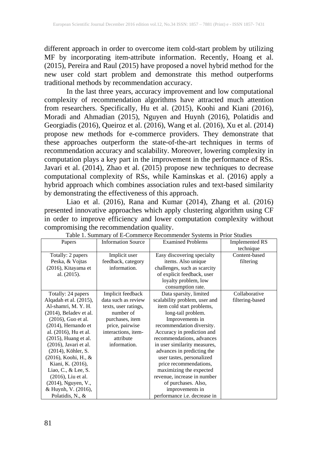different approach in order to overcome item cold-start problem by utilizing MF by incorporating item-attribute information. Recently, Hoang et al. (2015), Pereira and Raul (2015) have proposed a novel hybrid method for the new user cold start problem and demonstrate this method outperforms traditional methods by recommendation accuracy.

In the last three years, accuracy improvement and low computational complexity of recommendation algorithms have attracted much attention from researchers. Specifically, Hu et al. (2015), Koohi and Kiani (2016), Moradi and Ahmadian (2015), Nguyen and Huynh (2016), Polatidis and Georgiadis (2016), Queiroz et al. (2016), Wang et al. (2016), Xu et al. (2014) propose new methods for e-commerce providers. They demonstrate that these approaches outperform the state-of-the-art techniques in terms of recommendation accuracy and scalability. Moreover, lowering complexity in computation plays a key part in the improvement in the performance of RSs. Javari et al. (2014), Zhao et al. (2015) propose new techniques to decrease computational complexity of RSs, while Kaminskas et al. (2016) apply a hybrid approach which combines association rules and text-based similarity by demonstrating the effectiveness of this approach.

Liao et al. (2016), Rana and Kumar (2014), Zhang et al. (2016) presented innovative approaches which apply clustering algorithm using CF in order to improve efficiency and lower computation complexity without compromising the recommendation quality.

| Papers                    | <b>Information Source</b> | radio 1. Building y or Le Commerce Recommender Bystems in Frior Buddles<br><b>Examined Problems</b> | <b>Implemented RS</b> |
|---------------------------|---------------------------|-----------------------------------------------------------------------------------------------------|-----------------------|
|                           |                           |                                                                                                     | technique             |
| Totally: 2 papers         | Implicit user             | Easy discovering specialty                                                                          | Content-based         |
| Peska, & Vojtas           | feedback, category        | items. Also unique                                                                                  | filtering             |
| (2016), Kitayama et       | information.              | challenges, such as scarcity                                                                        |                       |
| al. $(2015)$ .            |                           | of explicit feedback, user                                                                          |                       |
|                           |                           | loyalty problem, low                                                                                |                       |
|                           |                           | consumption rate.                                                                                   |                       |
| Totally: 24 papers        | Implicit feedback         | Data sparsity, limited                                                                              | Collaborative         |
| Alqadah et al. (2015),    | data such as review       | scalability problem, user and                                                                       | filtering-based       |
| Al-shamri, M.Y.H.         | texts, user ratings,      | item cold start problems,                                                                           |                       |
| $(2014)$ , Beladev et al. | number of                 | long-tail problem.                                                                                  |                       |
| $(2016)$ , Guo et al.     | purchases, item           | Improvements in                                                                                     |                       |
| $(2014)$ , Hernando et    | price, pairwise           | recommendation diversity.                                                                           |                       |
| al. (2016), Hu et al.     | interactions, item-       | Accuracy in prediction and                                                                          |                       |
| $(2015)$ , Huang et al.   | attribute                 | recommendations, advances                                                                           |                       |
| $(2016)$ , Javari et al.  | information.              | in user similarity measures,                                                                        |                       |
| (2014), Köhler, S.        |                           | advances in predicting the                                                                          |                       |
| (2016), Koohi, H., &      |                           | user tastes, personalized                                                                           |                       |
| Kiani, K. (2016),         |                           | price recommendations,                                                                              |                       |
| Liao, C., $&$ Lee, S.     |                           | maximizing the expected                                                                             |                       |
| $(2016)$ , Liu et al.     |                           | revenue, increase in number                                                                         |                       |
| (2014), Nguyen, V.,       |                           | of purchases. Also,                                                                                 |                       |
| & Huynh, V. (2016),       |                           | improvements in                                                                                     |                       |
| Polatidis, N., &          |                           | performance <i>i.e.</i> decrease in                                                                 |                       |

Table 1. Summary of E-Commerce Recommender Systems in Prior Studies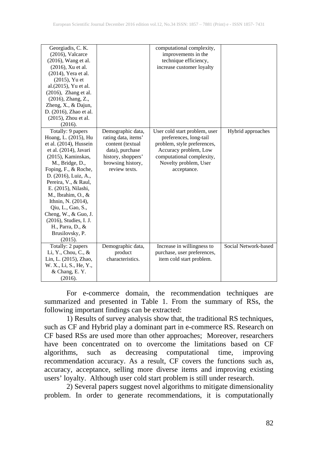| Georgiadis, C. K.       |                     | computational complexity,     |                      |
|-------------------------|---------------------|-------------------------------|----------------------|
| $(2016)$ , Valcarce     |                     | improvements in the           |                      |
| $(2016)$ , Wang et al.  |                     | technique efficiency,         |                      |
| (2016), Xu et al.       |                     | increase customer loyalty     |                      |
| $(2014)$ , Yera et al.  |                     |                               |                      |
| $(2015)$ , Yu et        |                     |                               |                      |
| al.(2015), Yu et al.    |                     |                               |                      |
| $(2016)$ , Zhang et al. |                     |                               |                      |
| (2016), Zhang, Z.,      |                     |                               |                      |
| Zheng, X., & Dajun,     |                     |                               |                      |
| D. (2016), Zhao et al.  |                     |                               |                      |
| (2015), Zhou et al.     |                     |                               |                      |
| (2016).                 |                     |                               |                      |
| Totally: 9 papers       | Demographic data,   | User cold start problem, user | Hybrid approaches    |
| Hoang, L. (2015), Hu    | rating data, items' | preferences, long-tail        |                      |
| et al. (2014), Hussein  | content (textual    | problem, style preferences,   |                      |
| et al. (2014), Javari   | data), purchase     | Accuracy problem, Low         |                      |
| $(2015)$ , Kaminskas,   | history, shoppers'  | computational complexity,     |                      |
| M., Bridge, D.,         | browsing history,   | Novelty problem, User         |                      |
| Foping, F., & Roche,    | review texts.       | acceptance.                   |                      |
| D. (2016), Luiz, A.,    |                     |                               |                      |
| Pereira, V., & Raul,    |                     |                               |                      |
| E. (2015), Nilashi,     |                     |                               |                      |
| M., Ibrahim, O., &      |                     |                               |                      |
| Ithnin, N. (2014),      |                     |                               |                      |
| Qiu, L., Gao, S.,       |                     |                               |                      |
| Cheng, W., & Guo, J.    |                     |                               |                      |
| (2016), Studies, I. J.  |                     |                               |                      |
| H., Parra, D., &        |                     |                               |                      |
| Brusilovsky, P.         |                     |                               |                      |
| (2015).                 |                     |                               |                      |
| Totally: 2 papers       | Demographic data,   | Increase in willingness to    | Social Network-based |
| Li, Y., Chou, C., $&$   | product             | purchase, user preferences,   |                      |
| Lin, L. (2015), Zhao,   | characteristics.    | item cold start problem.      |                      |
| W. X., Li, S., He, Y.,  |                     |                               |                      |
| & Chang, E.Y.           |                     |                               |                      |
| (2016).                 |                     |                               |                      |

For e-commerce domain, the recommendation techniques are summarized and presented in Table 1. From the summary of RSs, the following important findings can be extracted:

1) Results of survey analysis show that, the traditional RS techniques, such as CF and Hybrid play a dominant part in e-commerce RS. Research on CF based RSs are used more than other approaches; Moreover, researchers have been concentrated on to overcome the limitations based on CF algorithms, such as decreasing computational time, improving recommendation accuracy. As a result, CF covers the functions such as, accuracy, acceptance, selling more diverse items and improving existing users' loyalty. Although user cold start problem is still under research.

2) Several papers suggest novel algorithms to mitigate dimensionality problem. In order to generate recommendations, it is computationally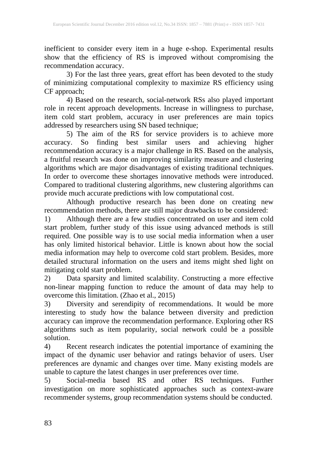inefficient to consider every item in a huge e-shop. Experimental results show that the efficiency of RS is improved without compromising the recommendation accuracy.

3) For the last three years, great effort has been devoted to the study of minimizing computational complexity to maximize RS efficiency using CF approach;

4) Based on the research, social-network RSs also played important role in recent approach developments. Increase in willingness to purchase, item cold start problem, accuracy in user preferences are main topics addressed by researchers using SN based technique;

5) The aim of the RS for service providers is to achieve more accuracy. So finding best similar users and achieving higher recommendation accuracy is a major challenge in RS. Based on the analysis, a fruitful research was done on improving similarity measure and clustering algorithms which are major disadvantages of existing traditional techniques. In order to overcome these shortages innovative methods were introduced. Compared to traditional clustering algorithms, new clustering algorithms can provide much accurate predictions with low computational cost.

Although productive research has been done on creating new recommendation methods, there are still major drawbacks to be considered:

1) Although there are a few studies concentrated on user and item cold start problem, further study of this issue using advanced methods is still required. One possible way is to use social media information when a user has only limited historical behavior. Little is known about how the social media information may help to overcome cold start problem. Besides, more detailed structural information on the users and items might shed light on mitigating cold start problem.

2) Data sparsity and limited scalability. Constructing a more effective non-linear mapping function to reduce the amount of data may help to overcome this limitation. (Zhao et al., 2015)

3) Diversity and serendipity of recommendations. It would be more interesting to study how the balance between diversity and prediction accuracy can improve the recommendation performance. Exploring other RS algorithms such as item popularity, social network could be a possible solution.

4) Recent research indicates the potential importance of examining the impact of the dynamic user behavior and ratings behavior of users. User preferences are dynamic and changes over time. Many existing models are unable to capture the latest changes in user preferences over time.

5) Social-media based RS and other RS techniques. Further investigation on more sophisticated approaches such as context-aware recommender systems, group recommendation systems should be conducted.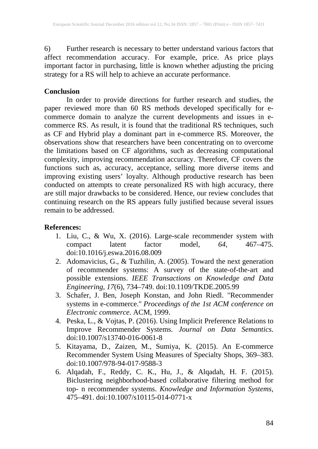6) Further research is necessary to better understand various factors that affect recommendation accuracy. For example, price. As price plays important factor in purchasing, little is known whether adjusting the pricing strategy for a RS will help to achieve an accurate performance.

### **Conclusion**

In order to provide directions for further research and studies, the paper reviewed more than 60 RS methods developed specifically for ecommerce domain to analyze the current developments and issues in ecommerce RS. As result, it is found that the traditional RS techniques, such as CF and Hybrid play a dominant part in e-commerce RS. Moreover, the observations show that researchers have been concentrating on to overcome the limitations based on CF algorithms, such as decreasing computational complexity, improving recommendation accuracy. Therefore, CF covers the functions such as, accuracy, acceptance, selling more diverse items and improving existing users' loyalty. Although productive research has been conducted on attempts to create personalized RS with high accuracy, there are still major drawbacks to be considered. Hence, our review concludes that continuing research on the RS appears fully justified because several issues remain to be addressed.

# **References:**

- 1. Liu, C., & Wu, X. (2016). Large-scale recommender system with<br>compact latent factor model, 64, 467–475. compact latent factor model, *64*, 467–475. doi:10.1016/j.eswa.2016.08.009
- 2. Adomavicius, G., & Tuzhilin, A. (2005). Toward the next generation of recommender systems: A survey of the state-of-the-art and possible extensions. *IEEE Transactions on Knowledge and Data Engineering*, *17*(6), 734–749. doi:10.1109/TKDE.2005.99
- 3. Schafer, J. Ben, Joseph Konstan, and John Riedl. "Recommender systems in e-commerce." *Proceedings of the 1st ACM conference on Electronic commerce*. ACM, 1999.
- 4. Peska, L., & Vojtas, P. (2016). Using Implicit Preference Relations to Improve Recommender Systems. *Journal on Data Semantics*. doi:10.1007/s13740-016-0061-8
- 5. Kitayama, D., Zaizen, M., Sumiya, K. (2015). An E-commerce Recommender System Using Measures of Specialty Shops, 369–383. doi:10.1007/978-94-017-9588-3
- 6. Alqadah, F., Reddy, C. K., Hu, J., & Alqadah, H. F. (2015). Biclustering neighborhood-based collaborative filtering method for top- n recommender systems. *Knowledge and Information Systems*, 475–491. doi:10.1007/s10115-014-0771-x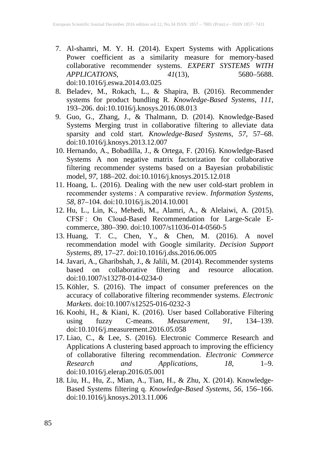- 7. Al-shamri, M. Y. H. (2014). Expert Systems with Applications Power coefficient as a similarity measure for memory-based collaborative recommender systems. *EXPERT SYSTEMS WITH APPLICATIONS*, *41*(13), 5680–5688. doi:10.1016/j.eswa.2014.03.025
- 8. Beladev, M., Rokach, L., & Shapira, B. (2016). Recommender systems for product bundling R. *Knowledge-Based Systems*, *111*, 193–206. doi:10.1016/j.knosys.2016.08.013
- 9. Guo, G., Zhang, J., & Thalmann, D. (2014). Knowledge-Based Systems Merging trust in collaborative filtering to alleviate data sparsity and cold start. *Knowledge-Based Systems*, *57*, 57–68. doi:10.1016/j.knosys.2013.12.007
- 10. Hernando, A., Bobadilla, J., & Ortega, F. (2016). Knowledge-Based Systems A non negative matrix factorization for collaborative filtering recommender systems based on a Bayesian probabilistic model, *97*, 188–202. doi:10.1016/j.knosys.2015.12.018
- 11. Hoang, L. (2016). Dealing with the new user cold-start problem in recommender systems : A comparative review. *Information Systems*, *58*, 87–104. doi:10.1016/j.is.2014.10.001
- 12. Hu, L., Lin, K., Mehedi, M., Alamri, A., & Alelaiwi, A. (2015). CFSF : On Cloud-Based Recommendation for Large-Scale Ecommerce, 380–390. doi:10.1007/s11036-014-0560-5
- 13. Huang, T. C., Chen, Y., & Chen, M. (2016). A novel recommendation model with Google similarity. *Decision Support Systems*, *89*, 17–27. doi:10.1016/j.dss.2016.06.005
- 14. Javari, A., Gharibshah, J., & Jalili, M. (2014). Recommender systems based on collaborative filtering and resource allocation. doi:10.1007/s13278-014-0234-0
- 15. Köhler, S. (2016). The impact of consumer preferences on the accuracy of collaborative filtering recommender systems. *Electronic Markets*. doi:10.1007/s12525-016-0232-3
- 16. Koohi, H., & Kiani, K. (2016). User based Collaborative Filtering<br>using tuzzy C-means. *Measurement*, 91, 134–139. using fuzzy C-means. *Measurement*, *91*, 134–139. doi:10.1016/j.measurement.2016.05.058
- 17. Liao, C., & Lee, S. (2016). Electronic Commerce Research and Applications A clustering based approach to improving the efficiency of collaborative filtering recommendation. *Electronic Commerce Research and Applications*, *18*, 1–9. doi:10.1016/j.elerap.2016.05.001
- 18. Liu, H., Hu, Z., Mian, A., Tian, H., & Zhu, X. (2014). Knowledge-Based Systems filtering q. *Knowledge-Based Systems*, *56*, 156–166. doi:10.1016/j.knosys.2013.11.006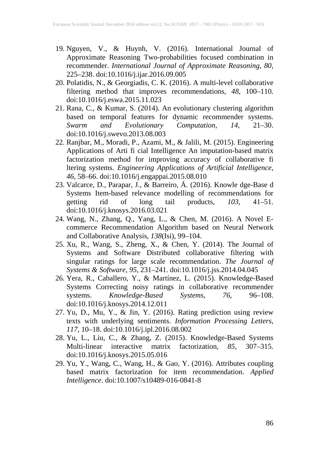- 19. Nguyen, V., & Huynh, V. (2016). International Journal of Approximate Reasoning Two-probabilities focused combination in recommender. *International Journal of Approximate Reasoning*, *80*, 225–238. doi:10.1016/j.ijar.2016.09.005
- 20. Polatidis, N., & Georgiadis, C. K. (2016). A multi-level collaborative filtering method that improves recommendations, *48*, 100–110. doi:10.1016/j.eswa.2015.11.023
- 21. Rana, C., & Kumar, S. (2014). An evolutionary clustering algorithm based on temporal features for dynamic recommender systems. *Swarm and Evolutionary Computation*, *14*, 21–30. doi:10.1016/j.swevo.2013.08.003
- 22. Ranjbar, M., Moradi, P., Azami, M., & Jalili, M. (2015). Engineering Applications of Arti fi cial Intelligence An imputation-based matrix factorization method for improving accuracy of collaborative fi ltering systems. *Engineering Applications of Artificial Intelligence*, *46*, 58–66. doi:10.1016/j.engappai.2015.08.010
- 23. Valcarce, D., Parapar, J., & Barreiro, Á. (2016). Knowle dge-Base d Systems Item-based relevance modelling of recommendations for getting rid of long tail products, *103*, 41–51. doi:10.1016/j.knosys.2016.03.021
- 24. Wang, N., Zhang, Q., Yang, L., & Chen, M. (2016). A Novel Ecommerce Recommendation Algorithm based on Neural Network and Collaborative Analysis, *138*(Isi), 99–104.
- 25. Xu, R., Wang, S., Zheng, X., & Chen, Y. (2014). The Journal of Systems and Software Distributed collaborative filtering with singular ratings for large scale recommendation. *The Journal of Systems & Software*, *95*, 231–241. doi:10.1016/j.jss.2014.04.045
- 26. Yera, R., Caballero, Y., & Martínez, L. (2015). Knowledge-Based Systems Correcting noisy ratings in collaborative recommender systems. *Knowledge-Based Systems*, *76*, 96–108. doi:10.1016/j.knosys.2014.12.011
- 27. Yu, D., Mu, Y., & Jin, Y. (2016). Rating prediction using review texts with underlying sentiments. *Information Processing Letters*, *117*, 10–18. doi:10.1016/j.ipl.2016.08.002
- 28. Yu, L., Liu, C., & Zhang, Z. (2015). Knowledge-Based Systems Multi-linear interactive matrix factorization, *85*, 307–315. doi:10.1016/j.knosys.2015.05.016
- 29. Yu, Y., Wang, C., Wang, H., & Gao, Y. (2016). Attributes coupling based matrix factorization for item recommendation. *Applied Intelligence*. doi:10.1007/s10489-016-0841-8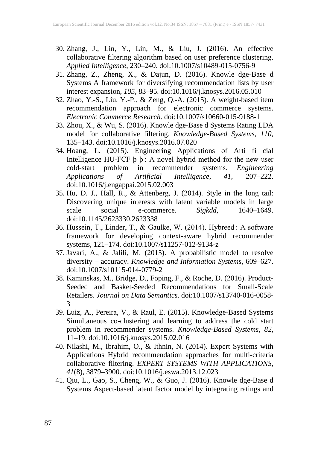- 30. Zhang, J., Lin, Y., Lin, M., & Liu, J. (2016). An effective collaborative filtering algorithm based on user preference clustering. *Applied Intelligence*, 230–240. doi:10.1007/s10489-015-0756-9
- 31. Zhang, Z., Zheng, X., & Dajun, D. (2016). Knowle dge-Base d Systems A framework for diversifying recommendation lists by user interest expansion, *105*, 83–95. doi:10.1016/j.knosys.2016.05.010
- 32. Zhao, Y.-S., Liu, Y.-P., & Zeng, Q.-A. (2015). A weight-based item recommendation approach for electronic commerce systems. *Electronic Commerce Research*. doi:10.1007/s10660-015-9188-1
- 33. Zhou, X., & Wu, S. (2016). Knowle dge-Base d Systems Rating LDA model for collaborative filtering. *Knowledge-Based Systems*, *110*, 135–143. doi:10.1016/j.knosys.2016.07.020
- 34. Hoang, L. (2015). Engineering Applications of Arti fi cial Intelligence HU-FCF þ þ : A novel hybrid method for the new user cold-start problem in recommender systems. *Engineering of Artificial Intelligence*, 41, doi:10.1016/j.engappai.2015.02.003
- 35. Hu, D. J., Hall, R., & Attenberg, J. (2014). Style in the long tail: Discovering unique interests with latent variable models in large scale social e-commerce. *Sigkdd*, 1640–1649. doi:10.1145/2623330.2623338
- 36. Hussein, T., Linder, T., & Gaulke, W. (2014). Hybreed : A software framework for developing context-aware hybrid recommender systems, 121–174. doi:10.1007/s11257-012-9134-z
- 37. Javari, A., & Jalili, M. (2015). A probabilistic model to resolve diversity – accuracy. *Knowledge and Information Systems*, 609–627. doi:10.1007/s10115-014-0779-2
- 38. Kaminskas, M., Bridge, D., Foping, F., & Roche, D. (2016). Product-Seeded and Basket-Seeded Recommendations for Small-Scale Retailers. *Journal on Data Semantics*. doi:10.1007/s13740-016-0058- 3
- 39. Luiz, A., Pereira, V., & Raul, E. (2015). Knowledge-Based Systems Simultaneous co-clustering and learning to address the cold start problem in recommender systems. *Knowledge-Based Systems*, *82*, 11–19. doi:10.1016/j.knosys.2015.02.016
- 40. Nilashi, M., Ibrahim, O., & Ithnin, N. (2014). Expert Systems with Applications Hybrid recommendation approaches for multi-criteria collaborative filtering. *EXPERT SYSTEMS WITH APPLICATIONS*, *41*(8), 3879–3900. doi:10.1016/j.eswa.2013.12.023
- 41. Qiu, L., Gao, S., Cheng, W., & Guo, J. (2016). Knowle dge-Base d Systems Aspect-based latent factor model by integrating ratings and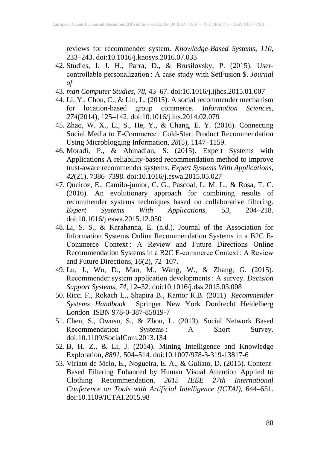reviews for recommender system. *Knowledge-Based Systems*, *110*, 233–243. doi:10.1016/j.knosys.2016.07.033

- 42. Studies, I. J. H., Parra, D., & Brusilovsky, P. (2015). Usercontrollable personalization : A case study with SetFusion \$. *Journal of*
- 43. *man Computer Studies*, *78*, 43–67. doi:10.1016/j.ijhcs.2015.01.007
- 44. Li, Y., Chou, C., & Lin, L. (2015). A social recommender mechanism for location-based group commerce. *Information Sciences*, *274*(2014), 125–142. doi:10.1016/j.ins.2014.02.079
- 45. Zhao, W. X., Li, S., He, Y., & Chang, E. Y. (2016). Connecting Social Media to E-Commerce : Cold-Start Product Recommendation Using Microblogging Information, *28*(5), 1147–1159.
- 46. Moradi, P., & Ahmadian, S. (2015). Expert Systems with Applications A reliability-based recommendation method to improve trust-aware recommender systems. *Expert Systems With Applications*, *42*(21), 7386–7398. doi:10.1016/j.eswa.2015.05.027
- 47. Queiroz, E., Camilo-junior, C. G., Pascoal, L. M. L., & Rosa, T. C. (2016). An evolutionary approach for combining results of recommender systems techniques based on collaborative filtering. *Expert Systems With Applications*, *53*, 204–218. doi:10.1016/j.eswa.2015.12.050
- 48. Li, S. S., & Karahanna, E. (n.d.). Journal of the Association for Information Systems Online Recommendation Systems in a B2C E-Commerce Context : A Review and Future Directions Online Recommendation Systems in a B2C E-commerce Context : A Review and Future Directions, *16*(2), 72–107.
- 49. Lu, J., Wu, D., Mao, M., Wang, W., & Zhang, G. (2015). Recommender system application developments : A survey. *Decision Support Systems*, *74*, 12–32. doi:10.1016/j.dss.2015.03.008
- 50. Ricci F., Rokach L., Shapira B., Kantor R.B. (2011) *Recommender Systems Handbook* Springer New York Dordrecht Heidelberg London ISBN 978-0-387-85819-7
- 51. Chen, S., Owusu, S., & Zhou, L. (2013). Social Network Based Recommendation Systems : A Short Survey. doi:10.1109/SocialCom.2013.134
- 52. B, H. Z., & Li, J. (2014). Mining Intelligence and Knowledge Exploration, *8891*, 504–514. doi:10.1007/978-3-319-13817-6
- 53. Viriato de Melo, E., Nogueira, E. A., & Guliato, D. (2015). Content-Based Filtering Enhanced by Human Visual Attention Applied to Clothing Recommendation. *2015 IEEE 27th International Conference on Tools with Artificial Intelligence (ICTAI)*, 644–651. doi:10.1109/ICTAI.2015.98